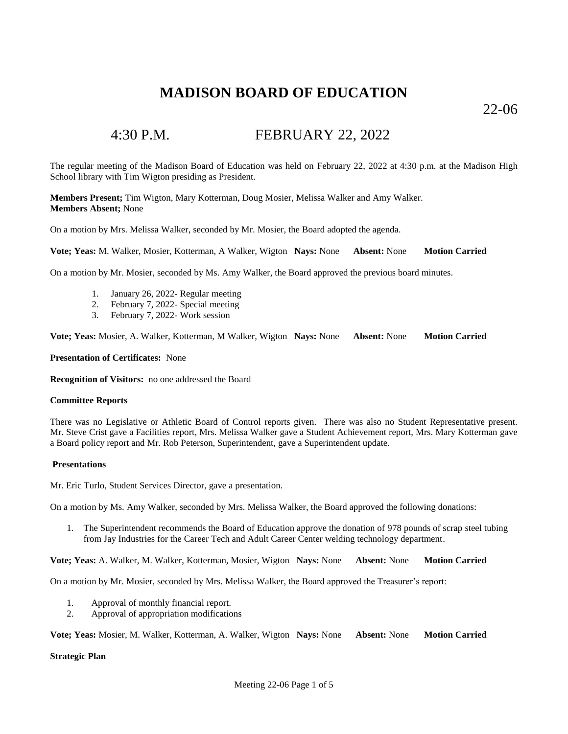22-06

# 4:30 P.M. FEBRUARY 22, 2022

The regular meeting of the Madison Board of Education was held on February 22, 2022 at 4:30 p.m. at the Madison High School library with Tim Wigton presiding as President.

**Members Present;** Tim Wigton, Mary Kotterman, Doug Mosier, Melissa Walker and Amy Walker. **Members Absent;** None

On a motion by Mrs. Melissa Walker, seconded by Mr. Mosier, the Board adopted the agenda.

**Vote; Yeas:** M. Walker, Mosier, Kotterman, A Walker, Wigton **Nays:** None **Absent:** None **Motion Carried**

On a motion by Mr. Mosier, seconded by Ms. Amy Walker, the Board approved the previous board minutes.

- 1. January 26, 2022- Regular meeting
- 2. February 7, 2022- Special meeting
- 3. February 7, 2022- Work session

**Vote; Yeas:** Mosier, A. Walker, Kotterman, M Walker, Wigton **Nays:** None **Absent:** None **Motion Carried**

### **Presentation of Certificates:** None

**Recognition of Visitors:** no one addressed the Board

### **Committee Reports**

There was no Legislative or Athletic Board of Control reports given. There was also no Student Representative present. Mr. Steve Crist gave a Facilities report, Mrs. Melissa Walker gave a Student Achievement report, Mrs. Mary Kotterman gave a Board policy report and Mr. Rob Peterson, Superintendent, gave a Superintendent update.

### **Presentations**

Mr. Eric Turlo, Student Services Director, gave a presentation.

On a motion by Ms. Amy Walker, seconded by Mrs. Melissa Walker, the Board approved the following donations:

1. The Superintendent recommends the Board of Education approve the donation of 978 pounds of scrap steel tubing from Jay Industries for the Career Tech and Adult Career Center welding technology department.

**Vote; Yeas:** A. Walker, M. Walker, Kotterman, Mosier, Wigton **Nays:** None **Absent:** None **Motion Carried**

On a motion by Mr. Mosier, seconded by Mrs. Melissa Walker, the Board approved the Treasurer's report:

- 1. Approval of monthly financial report.
- 2. Approval of appropriation modifications

**Vote; Yeas:** Mosier, M. Walker, Kotterman, A. Walker, Wigton **Nays:** None **Absent:** None **Motion Carried**

### **Strategic Plan**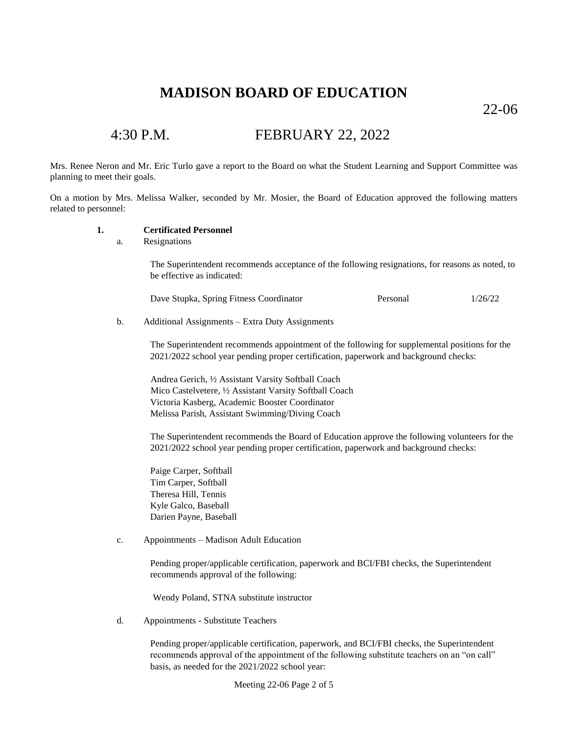22-06

# 4:30 P.M. FEBRUARY 22, 2022

Mrs. Renee Neron and Mr. Eric Turlo gave a report to the Board on what the Student Learning and Support Committee was planning to meet their goals.

On a motion by Mrs. Melissa Walker, seconded by Mr. Mosier, the Board of Education approved the following matters related to personnel:

### **1. Certificated Personnel**

a. Resignations

The Superintendent recommends acceptance of the following resignations, for reasons as noted, to be effective as indicated:

Dave Stupka, Spring Fitness Coordinator Personal 1/26/22

b. Additional Assignments – Extra Duty Assignments

The Superintendent recommends appointment of the following for supplemental positions for the 2021/2022 school year pending proper certification, paperwork and background checks:

 Andrea Gerich, ½ Assistant Varsity Softball Coach Mico Castelvetere, ½ Assistant Varsity Softball Coach Victoria Kasberg, Academic Booster Coordinator Melissa Parish, Assistant Swimming/Diving Coach

The Superintendent recommends the Board of Education approve the following volunteers for the 2021/2022 school year pending proper certification, paperwork and background checks:

Paige Carper, Softball Tim Carper, Softball Theresa Hill, Tennis Kyle Galco, Baseball Darien Payne, Baseball

c. Appointments – Madison Adult Education

Pending proper/applicable certification, paperwork and BCI/FBI checks, the Superintendent recommends approval of the following:

Wendy Poland, STNA substitute instructor

d. Appointments - Substitute Teachers

Pending proper/applicable certification, paperwork, and BCI/FBI checks, the Superintendent recommends approval of the appointment of the following substitute teachers on an "on call" basis, as needed for the 2021/2022 school year:

Meeting 22-06 Page 2 of 5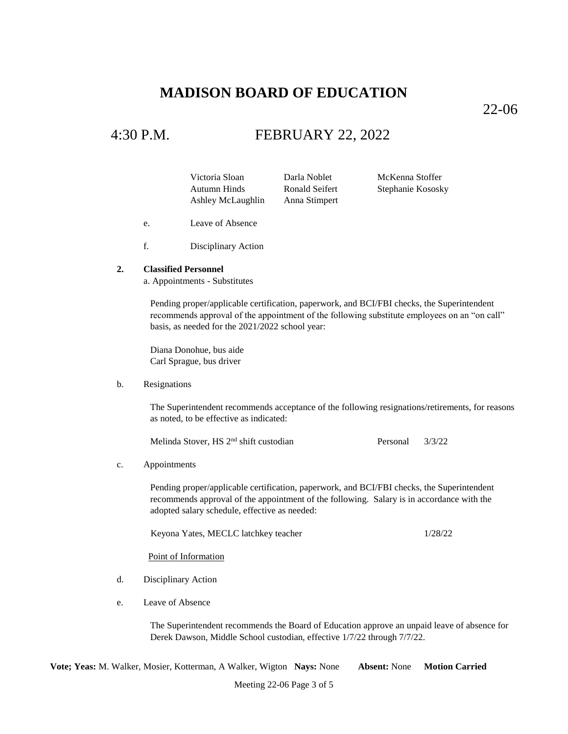22-06

### 4:30 P.M. FEBRUARY 22, 2022

Victoria Sloan Darla Noblet McKenna Stoffer Autumn Hinds Ronald Seifert Stephanie Kososky Ashley McLaughlin Anna Stimpert

- e. Leave of Absence
- f. Disciplinary Action

### **2. Classified Personnel**

a. Appointments - Substitutes

Pending proper/applicable certification, paperwork, and BCI/FBI checks, the Superintendent recommends approval of the appointment of the following substitute employees on an "on call" basis, as needed for the 2021/2022 school year:

Diana Donohue, bus aide Carl Sprague, bus driver

### b. Resignations

The Superintendent recommends acceptance of the following resignations/retirements, for reasons as noted, to be effective as indicated:

Melinda Stover, HS 2<sup>nd</sup> shift custodian Personal 3/3/22

### c. Appointments

Pending proper/applicable certification, paperwork, and BCI/FBI checks, the Superintendent recommends approval of the appointment of the following. Salary is in accordance with the adopted salary schedule, effective as needed:

Keyona Yates, MECLC latchkey teacher 1/28/22

Point of Information

- d. Disciplinary Action
- e. Leave of Absence

The Superintendent recommends the Board of Education approve an unpaid leave of absence for Derek Dawson, Middle School custodian, effective 1/7/22 through 7/7/22.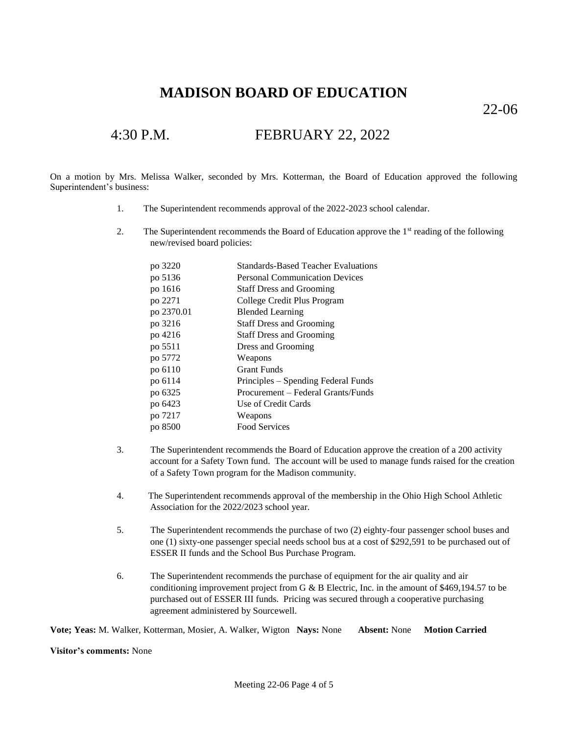22-06

# 4:30 P.M. FEBRUARY 22, 2022

On a motion by Mrs. Melissa Walker, seconded by Mrs. Kotterman, the Board of Education approved the following Superintendent's business:

- 1. The Superintendent recommends approval of the 2022-2023 school calendar.
- 2. The Superintendent recommends the Board of Education approve the  $1<sup>st</sup>$  reading of the following new/revised board policies:

| po 3220    | <b>Standards-Based Teacher Evaluations</b> |
|------------|--------------------------------------------|
| po 5136    | <b>Personal Communication Devices</b>      |
| po 1616    | <b>Staff Dress and Grooming</b>            |
| po 2271    | College Credit Plus Program                |
| po 2370.01 | <b>Blended Learning</b>                    |
| po 3216    | <b>Staff Dress and Grooming</b>            |
| po 4216    | <b>Staff Dress and Grooming</b>            |
| po 5511    | Dress and Grooming                         |
| po 5772    | Weapons                                    |
| po 6110    | <b>Grant Funds</b>                         |
| po 6114    | Principles – Spending Federal Funds        |
| po 6325    | Procurement – Federal Grants/Funds         |
| po 6423    | Use of Credit Cards                        |
| po 7217    | Weapons                                    |
| po 8500    | <b>Food Services</b>                       |
|            |                                            |

- 3. The Superintendent recommends the Board of Education approve the creation of a 200 activity account for a Safety Town fund. The account will be used to manage funds raised for the creation of a Safety Town program for the Madison community.
- 4. The Superintendent recommends approval of the membership in the Ohio High School Athletic Association for the 2022/2023 school year.
- 5. The Superintendent recommends the purchase of two (2) eighty-four passenger school buses and one (1) sixty-one passenger special needs school bus at a cost of \$292,591 to be purchased out of ESSER II funds and the School Bus Purchase Program.
- 6. The Superintendent recommends the purchase of equipment for the air quality and air conditioning improvement project from G & B Electric, Inc. in the amount of \$469,194.57 to be purchased out of ESSER III funds. Pricing was secured through a cooperative purchasing agreement administered by Sourcewell.

**Vote; Yeas:** M. Walker, Kotterman, Mosier, A. Walker, Wigton **Nays:** None **Absent:** None **Motion Carried**

**Visitor's comments:** None